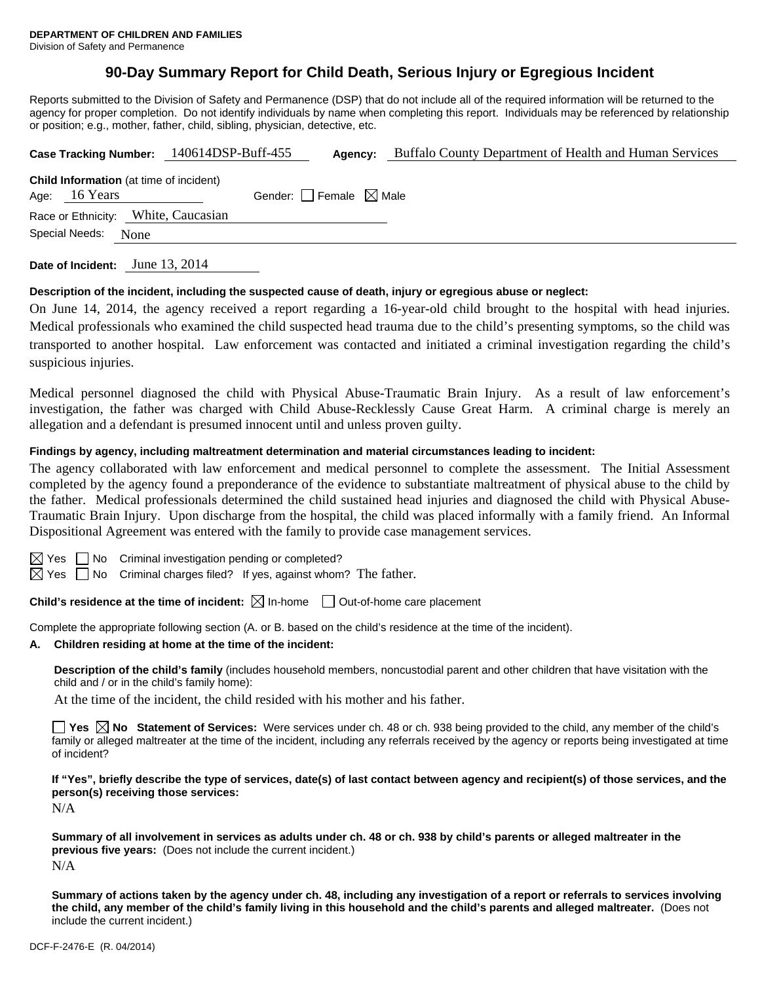# **90-Day Summary Report for Child Death, Serious Injury or Egregious Incident**

Reports submitted to the Division of Safety and Permanence (DSP) that do not include all of the required information will be returned to the agency for proper completion. Do not identify individuals by name when completing this report. Individuals may be referenced by relationship or position; e.g., mother, father, child, sibling, physician, detective, etc.

|                                                                 | Case Tracking Number: 140614DSP-Buff-455 | Agency:                             | Buffalo County Department of Health and Human Services |
|-----------------------------------------------------------------|------------------------------------------|-------------------------------------|--------------------------------------------------------|
| <b>Child Information</b> (at time of incident)<br>Age: 16 Years |                                          | Gender: $ $ Female $\boxtimes$ Male |                                                        |
| Race or Ethnicity: White, Caucasian                             |                                          |                                     |                                                        |
| Special Needs:<br>None                                          |                                          |                                     |                                                        |
|                                                                 |                                          |                                     |                                                        |

**Date of Incident:** June 13, 2014

#### **Description of the incident, including the suspected cause of death, injury or egregious abuse or neglect:**

On June 14, 2014, the agency received a report regarding a 16-year-old child brought to the hospital with head injuries. Medical professionals who examined the child suspected head trauma due to the child's presenting symptoms, so the child was transported to another hospital. Law enforcement was contacted and initiated a criminal investigation regarding the child's suspicious injuries.

Medical personnel diagnosed the child with Physical Abuse-Traumatic Brain Injury. As a result of law enforcement's investigation, the father was charged with Child Abuse-Recklessly Cause Great Harm. A criminal charge is merely an allegation and a defendant is presumed innocent until and unless proven guilty.

#### **Findings by agency, including maltreatment determination and material circumstances leading to incident:**

The agency collaborated with law enforcement and medical personnel to complete the assessment. The Initial Assessment completed by the agency found a preponderance of the evidence to substantiate maltreatment of physical abuse to the child by the father. Medical professionals determined the child sustained head injuries and diagnosed the child with Physical Abuse-Traumatic Brain Injury. Upon discharge from the hospital, the child was placed informally with a family friend. An Informal Dispositional Agreement was entered with the family to provide case management services.

 $\Box$  No Criminal investigation pending or completed?

 $\boxtimes$  Yes  $\Box$  No Criminal charges filed? If yes, against whom? The father.

**Child's residence at the time of incident:**  $\boxtimes$  In-home  $\Box$  Out-of-home care placement

Complete the appropriate following section (A. or B. based on the child's residence at the time of the incident).

#### **A. Children residing at home at the time of the incident:**

**Description of the child's family** (includes household members, noncustodial parent and other children that have visitation with the child and / or in the child's family home):

At the time of the incident, the child resided with his mother and his father.

■ Yes **No** Statement of Services: Were services under ch. 48 or ch. 938 being provided to the child, any member of the child's family or alleged maltreater at the time of the incident, including any referrals received by the agency or reports being investigated at time of incident?

**If "Yes", briefly describe the type of services, date(s) of last contact between agency and recipient(s) of those services, and the person(s) receiving those services:** 

N/A

**Summary of all involvement in services as adults under ch. 48 or ch. 938 by child's parents or alleged maltreater in the previous five years:** (Does not include the current incident.) N/A

**Summary of actions taken by the agency under ch. 48, including any investigation of a report or referrals to services involving the child, any member of the child's family living in this household and the child's parents and alleged maltreater.** (Does not include the current incident.)